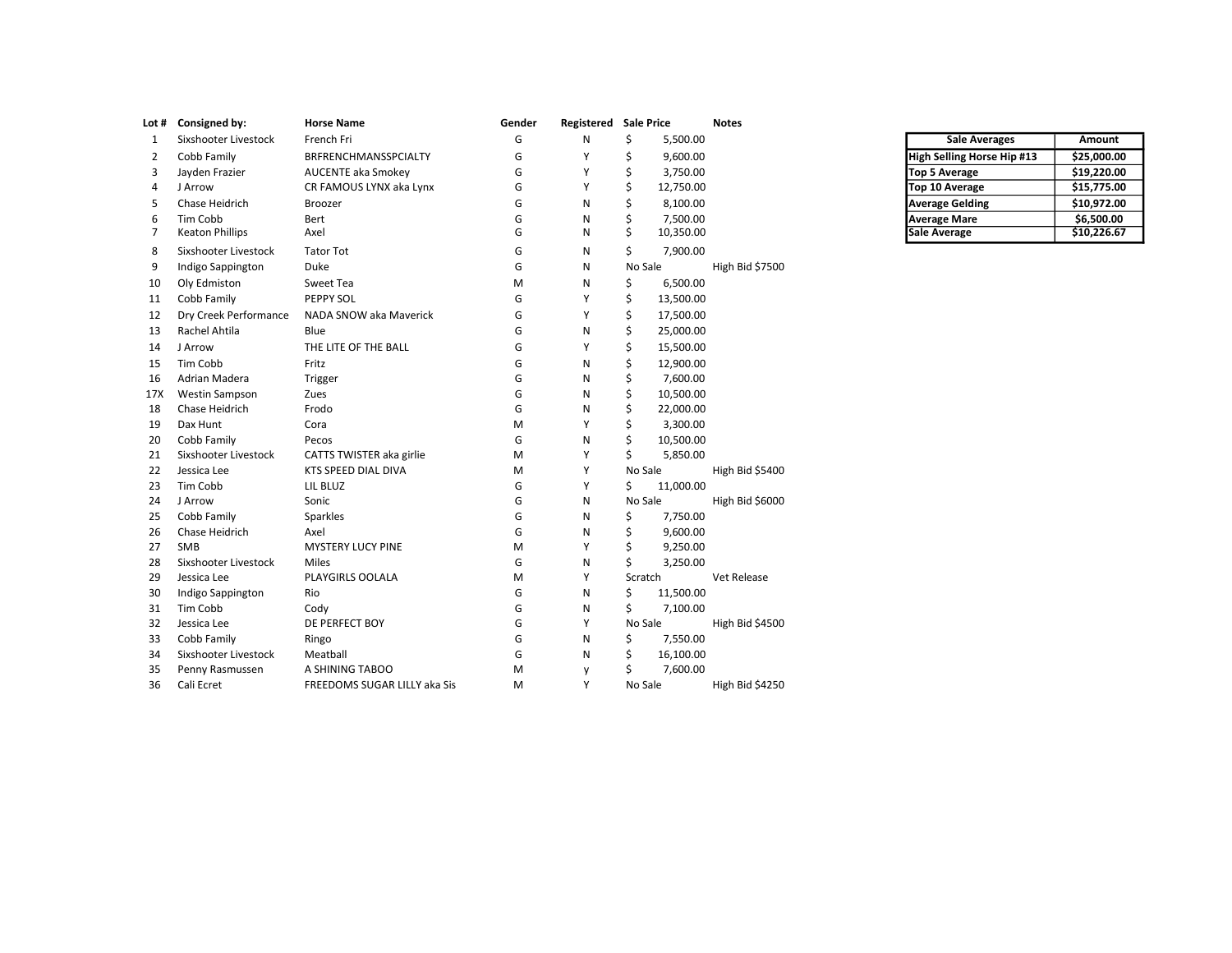|     | Lot # Consigned by:    | <b>Horse Name</b>            | Gender | Registered Sale Price |         |           | <b>Notes</b>    |                            |             |
|-----|------------------------|------------------------------|--------|-----------------------|---------|-----------|-----------------|----------------------------|-------------|
| 1   | Sixshooter Livestock   | French Fri                   | G      | N                     | \$      | 5,500.00  |                 | <b>Sale Averages</b>       | Amount      |
| 2   | Cobb Family            | BRFRENCHMANSSPCIALTY         | G      | Y                     | Ś       | 9,600.00  |                 | High Selling Horse Hip #13 | \$25,000.00 |
| 3   | Jayden Frazier         | <b>AUCENTE aka Smokey</b>    | G      | Y                     | \$      | 3,750.00  |                 | <b>Top 5 Average</b>       | \$19,220.00 |
| 4   | J Arrow                | CR FAMOUS LYNX aka Lynx      | G      | Y                     | \$      | 12,750.00 |                 | Top 10 Average             | \$15,775.00 |
| 5   | Chase Heidrich         | Broozer                      | G      | N                     | \$      | 8,100.00  |                 | <b>Average Gelding</b>     | \$10,972.00 |
| 6   | Tim Cobb               | Bert                         | G      | N                     | \$      | 7,500.00  |                 | <b>Average Mare</b>        | \$6,500.00  |
| 7   | <b>Keaton Phillips</b> | Axel                         | G      | N                     | Ś.      | 10,350.00 |                 | <b>Sale Average</b>        | \$10,226.67 |
| 8   | Sixshooter Livestock   | <b>Tator Tot</b>             | G      | N                     | \$      | 7,900.00  |                 |                            |             |
| 9   | Indigo Sappington      | Duke                         | G      | N                     | No Sale |           | High Bid \$7500 |                            |             |
| 10  | Oly Edmiston           | Sweet Tea                    | M      | N                     | \$      | 6,500.00  |                 |                            |             |
| 11  | Cobb Family            | PEPPY SOL                    | G      | Y                     | \$      | 13,500.00 |                 |                            |             |
| 12  | Dry Creek Performance  | NADA SNOW aka Maverick       | G      | Y                     | \$      | 17,500.00 |                 |                            |             |
| 13  | Rachel Ahtila          | Blue                         | G      | N                     | \$      | 25,000.00 |                 |                            |             |
| 14  | J Arrow                | THE LITE OF THE BALL         | G      | Y                     | Ś       | 15,500.00 |                 |                            |             |
| 15  | Tim Cobb               | Fritz                        | G      | N                     | Ś       | 12,900.00 |                 |                            |             |
| 16  | Adrian Madera          | Trigger                      | G      | N                     | Ś       | 7,600.00  |                 |                            |             |
| 17X | Westin Sampson         | Zues                         | G      | N                     | Ś       | 10,500.00 |                 |                            |             |
| 18  | Chase Heidrich         | Frodo                        | G      | N                     | Ś       | 22,000.00 |                 |                            |             |
| 19  | Dax Hunt               | Cora                         | M      | Y                     | Ś       | 3,300.00  |                 |                            |             |
| 20  | Cobb Family            | Pecos                        | G      | N                     | \$      | 10,500.00 |                 |                            |             |
| 21  | Sixshooter Livestock   | CATTS TWISTER aka girlie     | M      | Y                     | \$      | 5,850.00  |                 |                            |             |
| 22  | Jessica Lee            | KTS SPEED DIAL DIVA          | M      | Y                     | No Sale |           | High Bid \$5400 |                            |             |
| 23  | Tim Cobb               | LIL BLUZ                     | G      | Y                     | \$      | 11,000.00 |                 |                            |             |
| 24  | J Arrow                | Sonic                        | G      | N                     | No Sale |           | High Bid \$6000 |                            |             |
| 25  | Cobb Family            | Sparkles                     | G      | N                     | Ś       | 7,750.00  |                 |                            |             |
| 26  | Chase Heidrich         | Axel                         | G      | N                     | \$      | 9,600.00  |                 |                            |             |
| 27  | SMB                    | MYSTERY LUCY PINE            | M      | Y                     | \$      | 9,250.00  |                 |                            |             |
| 28  | Sixshooter Livestock   | Miles                        | G      | N                     | Ś.      | 3,250.00  |                 |                            |             |
| 29  | Jessica Lee            | PLAYGIRLS OOLALA             | M      | Y                     | Scratch |           | Vet Release     |                            |             |
| 30  | Indigo Sappington      | Rio                          | G      | N                     | \$      | 11,500.00 |                 |                            |             |
| 31  | Tim Cobb               | Cody                         | G      | N                     | \$      | 7,100.00  |                 |                            |             |
| 32  | Jessica Lee            | DE PERFECT BOY               | G      | Y                     | No Sale |           | High Bid \$4500 |                            |             |
| 33  | Cobb Family            | Ringo                        | G      | N                     | \$      | 7,550.00  |                 |                            |             |
| 34  | Sixshooter Livestock   | Meatball                     | G      | N                     | \$      | 16,100.00 |                 |                            |             |
| 35  | Penny Rasmussen        | A SHINING TABOO              | M      | y                     | \$      | 7,600.00  |                 |                            |             |
| 36  | Cali Ecret             | FREEDOMS SUGAR LILLY aka Sis | M      | Y                     | No Sale |           | High Bid \$4250 |                            |             |

| <b>Sale Averages</b>              | Amount      |
|-----------------------------------|-------------|
| <b>High Selling Horse Hip #13</b> | \$25,000.00 |
| <b>Top 5 Average</b>              | \$19,220.00 |
| Top 10 Average                    | \$15,775.00 |
| <b>Average Gelding</b>            | \$10,972.00 |
| <b>Average Mare</b>               | \$6,500.00  |
| <b>Sale Average</b>               | \$10,226.67 |